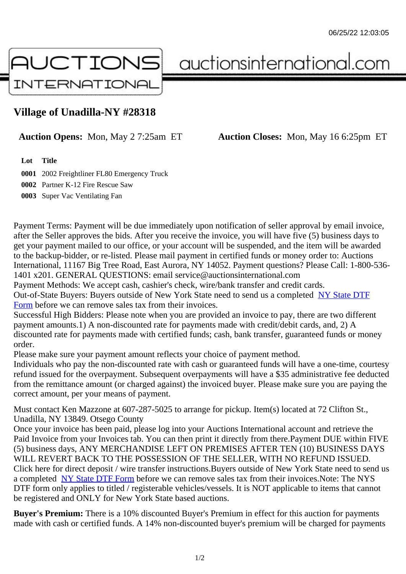## Village of Unadilla-NY #28318

## Auction Opens: Mon, May 2 7:25am ET Auction Closes: Mon, May 16 6:25pm ET

Lot Title

0001 2002 Freightliner FL80 Emergency Truck 0002 Partner K-12 Fire Rescue Saw 0003 Super Vac Ventilating Fan

Payment Terms: Payment will be due immediately upon notification of seller approval by email invoice, after the Seller approves the bids. After you receive the invoice, you will have five (5) business days to get your payment mailed to our office, or your account will be suspended, and the item will be awarded to the backup-bidder, or re-listed. Please mail payment in certified funds or money order to: Auctions International, 11167 Big Tree Road, East Aurora, NY 14052. Payment questions? Please Call: 1-800-53 1401 x201. GENERAL QUESTIONS: email service@auctionsinternational.com

Payment Methods: We accept cash, cashier's check, wire/bank transfer and credit cards. Out-of-State Buyers: Buyers outside of New York State need to send us a com blestate DTF Form before we can remove sales tax from their invoices.

Successful High Bidders: Please note when you are provided an invoice to pay, there are two different payment amounts.1) A non-discounted rate for payments made with credit/de[bit cards, and](https://www.auctionsinternational.com/auxiliary/downloads/DTF_Form/dtf_fill_in.pdf), 2) A [disco](https://www.auctionsinternational.com/auxiliary/downloads/DTF_Form/dtf_fill_in.pdf)unted rate for payments made with certified funds; cash, bank transfer, quaranteed funds or mone order.

Please make sure your payment amount reflects your choice of payment method.

Individuals who pay the non-discounted rate with cash or quaranteed funds will have a one-time, courte refund issued for the overpayment. Subsequent overpayments will have a \$35 administrative fee deduc from the remittance amount (or charged against) the invoiced buyer. Please make sure you are paying correct amount, per your means of payment.

Must contact Ken Mazzone at 607-287-5025 to arrange for pickup. Item(s) located at 72 Clifton St., Unadilla, NY 13849. Otsego County

Once your invoice has been paid, please log into your Auctions International account and retrieve the Paid Invoice from your Invoices tab. You can then print it directly from there.Payment DUE within FIVE (5) business days, ANY MERCHANDISE LEFT ON PREMISES AFTER TEN (10) BUSINESS DAYS WILL REVERT BACK TO THE POSSESSION OF THE SELLER, WITH NO REFUND ISSUED. Click here for direct deposit / wire transfer instructions. Buyers outside of New York State need to send use a completed NY State DTF Form before we can remove sales tax from their invoices. Note: The NYS DTF form only applies to titled / registerable vehicles/vessels. It is NOT applicable to items that cannot be registered and ONLY for New York State based auctions.

Buyer's Pre[mium: There is a 10](https://www.auctionsinternational.com/auxiliary/downloads/DTF_Form/dtf_fill_in.pdf)% discounted Buyer's Premium in effect for this auction for payments made with cash or certified funds. A 14% non-discounted buyer's premium will be charged for payments